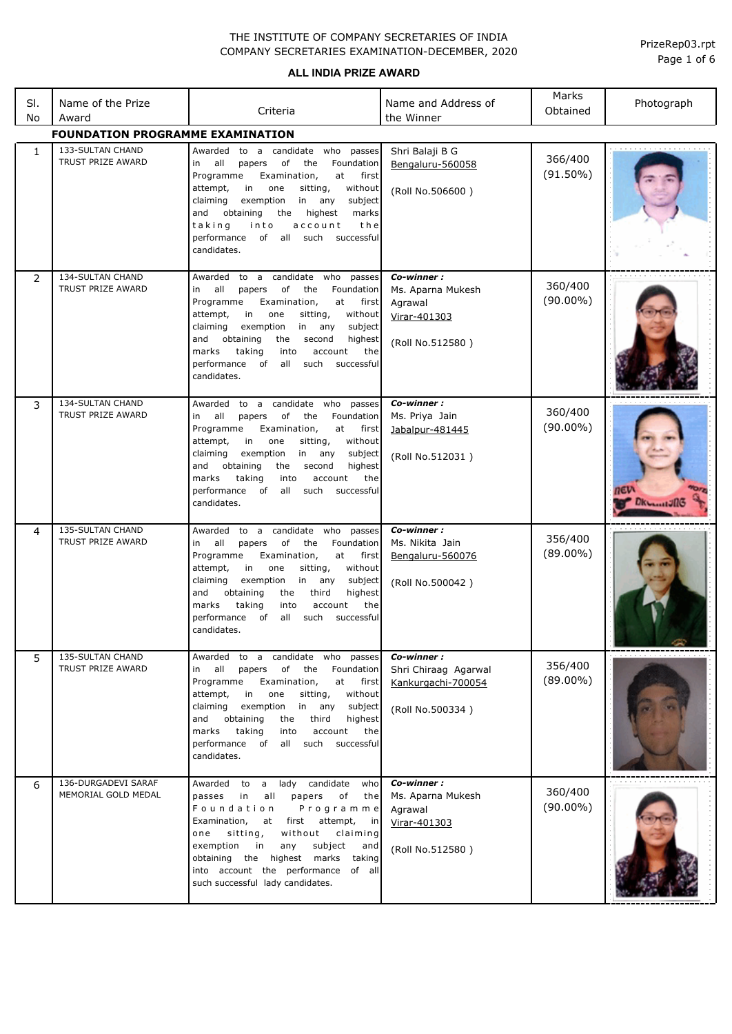**ALL INDIA PRIZE AWARD**

| SI.<br>No    | Name of the Prize<br>Award                   | Criteria                                                                                                                                                                                                                                                                                                                                                                                         | Name and Address of<br>the Winner                                              | Marks<br>Obtained      | Photograph |  |
|--------------|----------------------------------------------|--------------------------------------------------------------------------------------------------------------------------------------------------------------------------------------------------------------------------------------------------------------------------------------------------------------------------------------------------------------------------------------------------|--------------------------------------------------------------------------------|------------------------|------------|--|
|              | <b>FOUNDATION PROGRAMME EXAMINATION</b>      |                                                                                                                                                                                                                                                                                                                                                                                                  |                                                                                |                        |            |  |
| $\mathbf{1}$ | 133-SULTAN CHAND<br>TRUST PRIZE AWARD        | Awarded<br>to a candidate who<br>passes<br>in<br>all<br>Foundation<br>papers<br>of<br>the<br>Programme<br>Examination,<br>at<br>first<br>attempt,<br>in<br>one<br>sitting,<br>without<br>exemption<br>claiming<br>in<br>subject<br>any<br>obtaining<br>the<br>highest<br>marks<br>and<br>taking<br>into<br>account<br>the<br>performance<br>of<br>all<br>successful<br>such<br>candidates.       | Shri Balaji B G<br>Bengaluru-560058<br>(Roll No.506600)                        | 366/400<br>$(91.50\%)$ | .          |  |
| 2            | 134-SULTAN CHAND<br>TRUST PRIZE AWARD        | to a candidate who<br>Awarded<br>passes<br>all<br>of<br>the<br>in<br>papers<br>Foundation<br>Programme<br>Examination,<br>at<br>first<br>in<br>sitting,<br>attempt,<br>one<br>without<br>claiming<br>exemption<br>in any<br>subject<br>and<br>obtaining<br>the<br>second<br>highest<br>marks<br>taking<br>into<br>account<br>the<br>performance of<br>all<br>such<br>successful<br>candidates.   | Co-winner:<br>Ms. Aparna Mukesh<br>Agrawal<br>Virar-401303<br>(Roll No.512580) | 360/400<br>$(90.00\%)$ |            |  |
| 3            | 134-SULTAN CHAND<br>TRUST PRIZE AWARD        | to a candidate who<br>passes<br>Awarded<br>all<br>of<br>in<br>papers<br>the<br>Foundation<br>Programme<br>Examination,<br>at<br>first<br>attempt,<br>in<br>one<br>sitting,<br>without<br>claiming<br>exemption<br>in any<br>subject<br>obtaining<br>and<br>the<br>second<br>highest<br>marks<br>taking<br>into<br>account<br>the<br>performance of<br>all<br>such<br>successful<br>candidates.   | Co-winner:<br>Ms. Priya Jain<br>Jabalpur-481445<br>(Roll No.512031)            | 360/400<br>$(90.00\%)$ | DKL        |  |
| 4            | 135-SULTAN CHAND<br>TRUST PRIZE AWARD        | to a candidate who<br>Awarded<br>passes<br>all<br>Foundation<br>оf<br>the<br>in<br>papers<br>Programme<br>Examination,<br>at<br>first<br>attempt,<br>in<br>one<br>sitting,<br>without<br>claiming<br>exemption<br>in any<br>subject<br>obtaining<br>the<br>third<br>highest<br>and<br>taking<br>the<br>marks<br>into<br>account<br>performance<br>of<br>all<br>such<br>successful<br>candidates. | Co-winner:<br>Ms. Nikita Jain<br>Bengaluru-560076<br>(Roll No.500042)          | 356/400<br>$(89.00\%)$ |            |  |
| 5            | <b>135-SULTAN CHAND</b><br>TRUST PRIZE AWARD | Awarded to a candidate who passes<br>all<br>of<br>the<br>Foundation<br>in<br>papers<br>Programme<br>Examination,<br>at<br>first<br>attempt,<br>in<br>without<br>one<br>sitting,<br>claiming<br>exemption<br>in any<br>subject<br>obtaining<br>third<br>and<br>the<br>highest<br>taking<br>marks<br>into<br>account<br>the<br>performance of<br>such<br>all<br>successful<br>candidates.          | Co-winner :<br>Shri Chiraaq Agarwal<br>Kankurgachi-700054<br>(Roll No.500334)  | 356/400<br>$(89.00\%)$ |            |  |
| 6            | 136-DURGADEVI SARAF<br>MEMORIAL GOLD MEDAL   | candidate<br>Awarded<br>lady<br>to<br>$\mathsf{a}$<br>who<br>passes<br>in<br>all<br>papers<br>оf<br>the<br>Foundation<br>Programme<br>Examination,<br>first<br>attempt,<br>at<br>in in<br>sitting,<br>without<br>claiming<br>one<br>exemption<br>in<br>any<br>subject<br>and<br>obtaining the highest marks<br>taking<br>into account the performance of all<br>such successful lady candidates. | Co-winner:<br>Ms. Aparna Mukesh<br>Agrawal<br>Virar-401303<br>(Roll No.512580) | 360/400<br>$(90.00\%)$ |            |  |

Page 1 of 6 PrizeRep03.rpt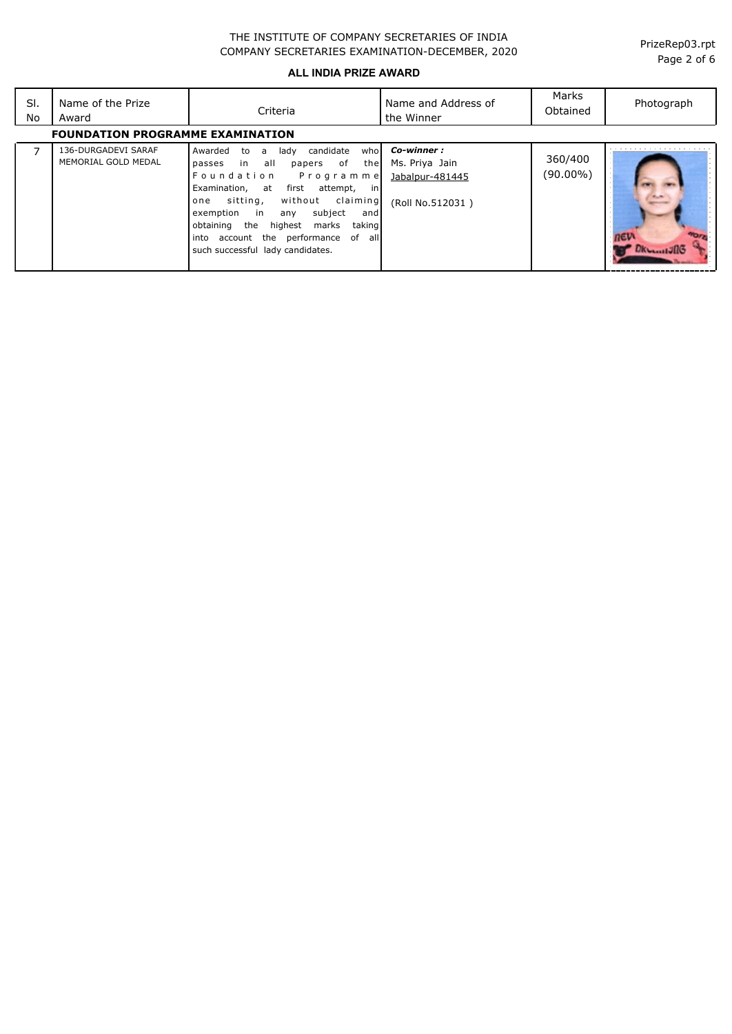#### **ALL INDIA PRIZE AWARD**

| SI.<br>No | Name of the Prize<br>Award                 | Criteria                                                                                                                                                                                                                                                                                                                                                 | Name and Address of<br>the Winner                                   | Marks<br>Obtained   | Photograph         |  |  |
|-----------|--------------------------------------------|----------------------------------------------------------------------------------------------------------------------------------------------------------------------------------------------------------------------------------------------------------------------------------------------------------------------------------------------------------|---------------------------------------------------------------------|---------------------|--------------------|--|--|
|           | <b>FOUNDATION PROGRAMME EXAMINATION</b>    |                                                                                                                                                                                                                                                                                                                                                          |                                                                     |                     |                    |  |  |
|           | 136-DURGADEVI SARAF<br>MEMORIAL GOLD MEDAL | candidate<br>Awarded<br>lady<br>whol<br>to<br>a a<br>passes in all<br>papers of the<br>Foundation Programme<br>Examination, at first attempt, in<br>without claiming<br>sitting,<br>one<br>subject<br>exemption in<br>any<br>andl<br>obtaining the<br>highest marks<br>taking<br>into account the performance of all<br>such successful lady candidates. | Co-winner:<br>Ms. Priya Jain<br>Jabalpur-481445<br>(Roll No.512031) | 360/400<br>(90.00%) | <b>LANGALIZERS</b> |  |  |

Page 2 of 6 PrizeRep03.rpt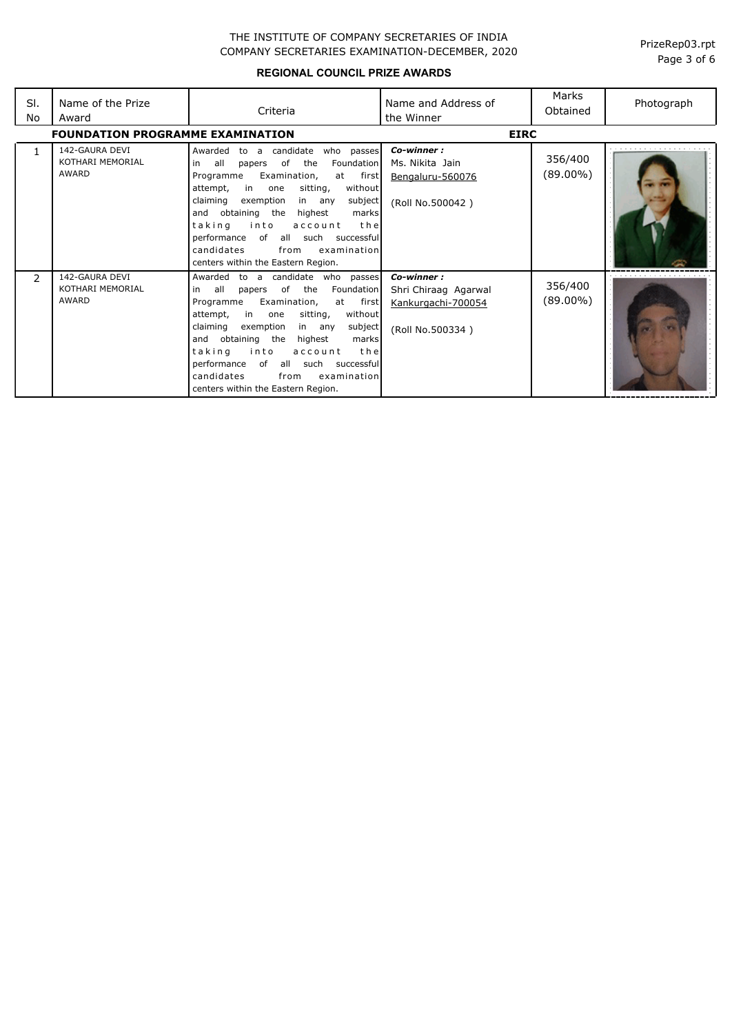**REGIONAL COUNCIL PRIZE AWARDS**

| SI.<br>No | Name of the Prize<br>Award                  | Criteria                                                                                                                                                                                                                                                                                                                                                                                                                                          | Name and Address of<br>the Winner                                            | Marks<br>Obtained      | Photograph |
|-----------|---------------------------------------------|---------------------------------------------------------------------------------------------------------------------------------------------------------------------------------------------------------------------------------------------------------------------------------------------------------------------------------------------------------------------------------------------------------------------------------------------------|------------------------------------------------------------------------------|------------------------|------------|
|           | <b>FOUNDATION PROGRAMME EXAMINATION</b>     |                                                                                                                                                                                                                                                                                                                                                                                                                                                   | <b>EIRC</b>                                                                  |                        |            |
| 1         | 142-GAURA DEVI<br>KOTHARI MEMORIAL<br>AWARD | candidate<br>Awarded<br>who passes<br>to<br>$\overline{a}$<br>of<br>the<br>Foundation<br>all<br>in<br>papers<br>at first<br>Examination,<br>Programme<br>in<br>sitting,<br>without<br>attempt,<br>one<br>claiming<br>exemption<br>subject<br>in any<br>and obtaining the<br>highest<br>marks<br>taking<br>into<br>account<br>the<br>performance of all such successful<br>candidates<br>examination<br>from<br>centers within the Eastern Region. | Co-winner:<br>Ms. Nikita Jain<br>Bengaluru-560076<br>(Roll No.500042)        | 356/400<br>$(89.00\%)$ |            |
| 2         | 142-GAURA DEVI<br>KOTHARI MEMORIAL<br>AWARD | Awarded<br>candidate who passes<br>to a<br>papers of the<br>Foundation<br>all<br>in.<br>at first<br>Programme<br>Examination,<br>in<br>sitting,<br>without<br>attempt,<br>one<br>claiming<br>exemption<br>subject<br>in any<br>and obtaining the<br>highest<br>marks<br>into<br>taking<br>the<br>account<br>performance of all such successful<br>candidates<br>examination<br>from<br>centers within the Eastern Region.                         | Co-winner:<br>Shri Chiraag Agarwal<br>Kankurgachi-700054<br>(Roll No.500334) | 356/400<br>(89.00%)    |            |

Page 3 of 6 PrizeRep03.rpt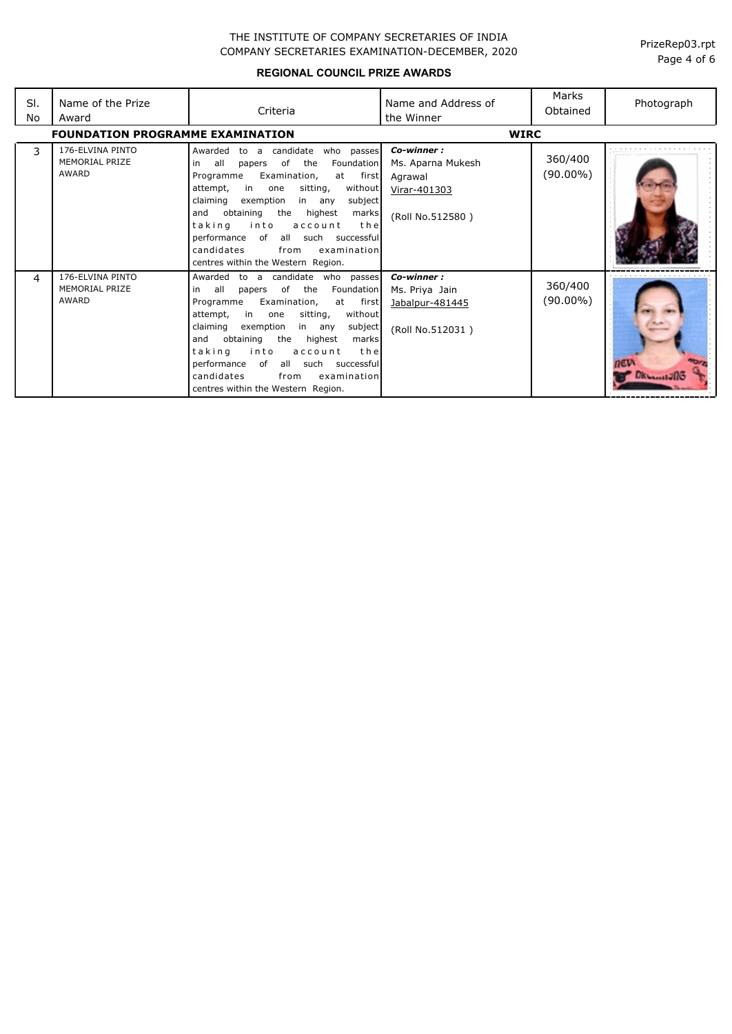**REGIONAL COUNCIL PRIZE AWARDS**

| SI.<br>No | Name of the Prize<br>Award                         | Criteria                                                                                                                                                                                                                                                                                                                                                                                                                                   | Name and Address of<br>the Winner                                              | Marks<br>Obtained      | Photograph |
|-----------|----------------------------------------------------|--------------------------------------------------------------------------------------------------------------------------------------------------------------------------------------------------------------------------------------------------------------------------------------------------------------------------------------------------------------------------------------------------------------------------------------------|--------------------------------------------------------------------------------|------------------------|------------|
|           | <b>FOUNDATION PROGRAMME EXAMINATION</b>            |                                                                                                                                                                                                                                                                                                                                                                                                                                            |                                                                                | <b>WIRC</b>            |            |
| 3         | 176-ELVINA PINTO<br><b>MEMORIAL PRIZE</b><br>AWARD | candidate<br>who passes<br>Awarded<br>to a<br>Foundation<br>all<br>of<br>the<br>papers<br>in<br>Examination,<br>at first<br>Programme<br>in<br>without<br>attempt,<br>sitting,<br>one<br>claiming<br>exemption<br>in any<br>subject<br>obtaining<br>the<br>and<br>highest<br>marks<br>into<br>taking<br>account<br>the<br>performance<br>of all such successful<br>candidates<br>from<br>examination<br>centres within the Western Region. | Co-winner:<br>Ms. Aparna Mukesh<br>Agrawal<br>Virar-401303<br>(Roll No.512580) | 360/400<br>$(90.00\%)$ |            |
| 4         | 176-ELVINA PINTO<br><b>MEMORIAL PRIZE</b><br>AWARD | Awarded<br>to a candidate who passes<br>all<br>papers of the<br>Foundation<br>in<br>at first<br>Programme<br>Examination,<br>in one<br>without<br>attempt,<br>sitting,<br>claiming<br>exemption<br>subject<br>in any<br>and<br>obtaining<br>the highest<br>marks<br>taking<br>into<br>the<br>account<br>performance of<br>all such successful<br>candidates<br>examination<br>from<br>centres within the Western Region.                   | Co-winner:<br>Ms. Priya Jain<br>Jabalpur-481445<br>(Roll No.512031)            | 360/400<br>$(90.00\%)$ |            |

Page 4 of 6 PrizeRep03.rpt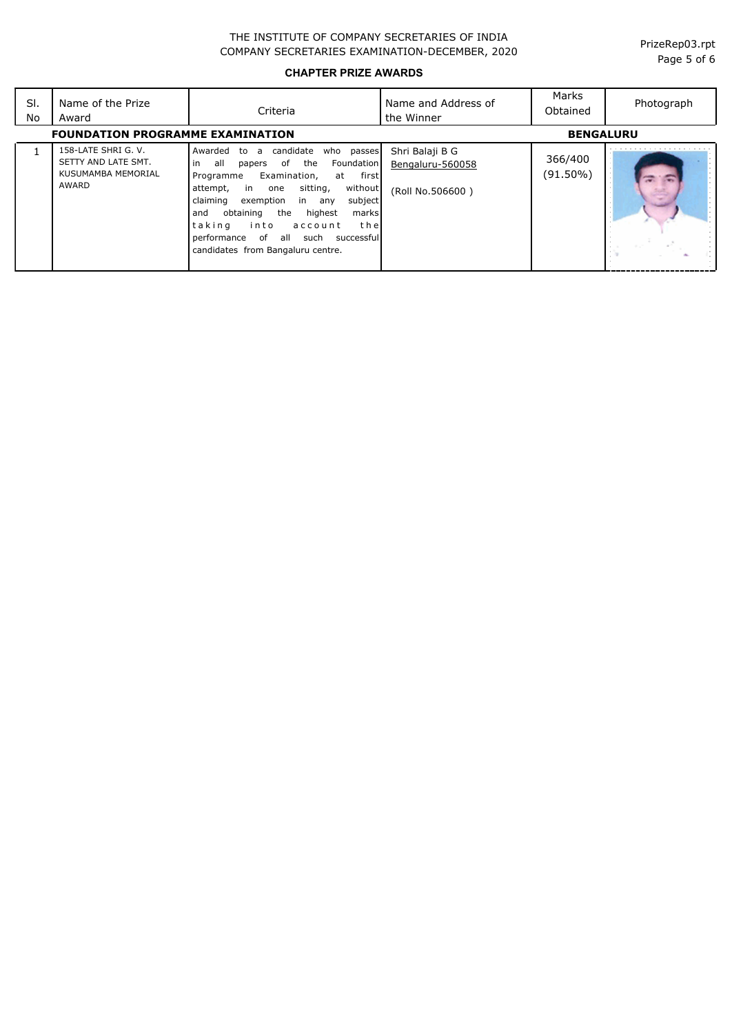**CHAPTER PRIZE AWARDS**

| SI.<br>No                                                   | Name of the Prize<br>Award                                                | Criteria                                                                                                                                                                                                                                                                                                                                                                                                 | Name and Address of<br>the Winner                       | Marks<br>Obtained   | Photograph |
|-------------------------------------------------------------|---------------------------------------------------------------------------|----------------------------------------------------------------------------------------------------------------------------------------------------------------------------------------------------------------------------------------------------------------------------------------------------------------------------------------------------------------------------------------------------------|---------------------------------------------------------|---------------------|------------|
| <b>FOUNDATION PROGRAMME EXAMINATION</b><br><b>BENGALURU</b> |                                                                           |                                                                                                                                                                                                                                                                                                                                                                                                          |                                                         |                     |            |
|                                                             | 158-LATE SHRI G. V.<br>SETTY AND LATE SMT.<br>KUSUMAMBA MEMORIAL<br>AWARD | candidate<br>who passes<br>Awarded to<br>a<br>l in<br>of<br>the<br>Foundation<br>all<br>papers<br>first<br>Examination,<br>Programme<br>at<br>without<br>attempt,<br>sitting,<br>in one<br>claiming<br>exemption in any<br>subject<br>obtaining<br>the<br>highest<br>marks<br>and<br> taking<br>into<br>the<br>account<br>performance of<br>all<br>such successfull<br>candidates from Bangaluru centre. | Shri Balaji B G<br>Bengaluru-560058<br>(Roll No.506600) | 366/400<br>(91.50%) |            |

Page 5 of 6 PrizeRep03.rpt